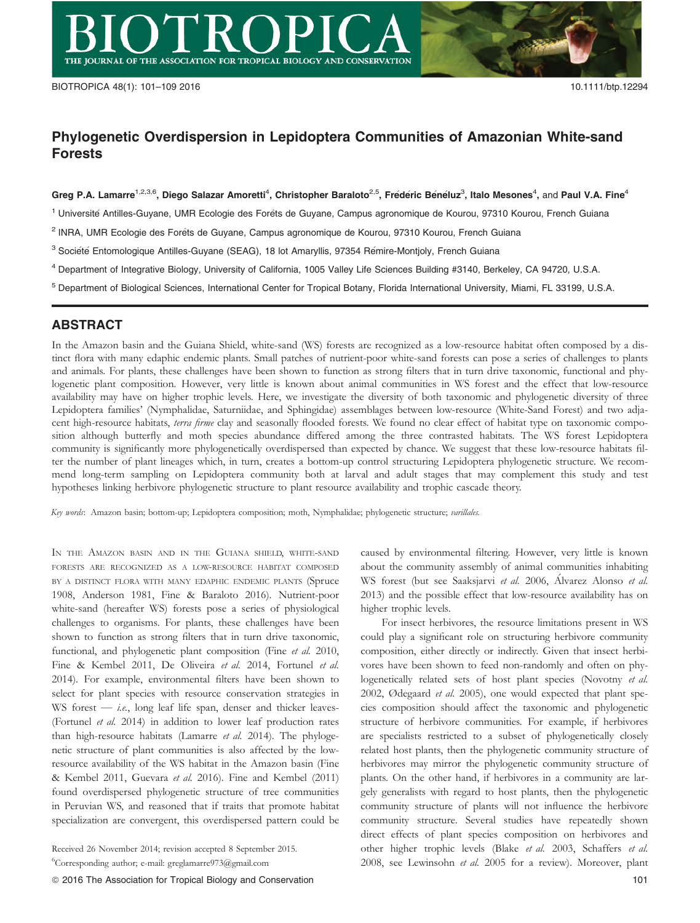# Phylogenetic Overdispersion in Lepidoptera Communities of Amazonian White-sand Forests

### Greg P.A. Lamarre $^{1,2,3,6}$ , Diego Salazar Amoretti $^4$ , Christopher Baraloto $^{2,5}$ , Frédéric Bénéluz $^3$ , Italo Mesones $^4$ , and Paul V.A. Fine $^4$

<sup>1</sup> Université Antilles-Guyane, UMR Ecologie des Forêts de Guyane, Campus agronomique de Kourou, 97310 Kourou, French Guiana

<sup>2</sup> INRA, UMR Ecologie des Forêts de Guyane, Campus agronomique de Kourou, 97310 Kourou, French Guiana

<sup>3</sup> Société Entomologique Antilles-Guyane (SEAG), 18 lot Amaryllis, 97354 Rémire-Montjoly, French Guiana

<sup>4</sup> Department of Integrative Biology, University of California, 1005 Valley Life Sciences Building #3140, Berkeley, CA 94720, U.S.A.

<sup>5</sup> Department of Biological Sciences, International Center for Tropical Botany, Florida International University, Miami, FL 33199, U.S.A.

## ABSTRACT

In the Amazon basin and the Guiana Shield, white-sand (WS) forests are recognized as a low-resource habitat often composed by a distinct flora with many edaphic endemic plants. Small patches of nutrient-poor white-sand forests can pose a series of challenges to plants and animals. For plants, these challenges have been shown to function as strong filters that in turn drive taxonomic, functional and phylogenetic plant composition. However, very little is known about animal communities in WS forest and the effect that low-resource availability may have on higher trophic levels. Here, we investigate the diversity of both taxonomic and phylogenetic diversity of three Lepidoptera families' (Nymphalidae, Saturniidae, and Sphingidae) assemblages between low-resource (White-Sand Forest) and two adjacent high-resource habitats, terra firme clay and seasonally flooded forests. We found no clear effect of habitat type on taxonomic composition although butterfly and moth species abundance differed among the three contrasted habitats. The WS forest Lepidoptera community is significantly more phylogenetically overdispersed than expected by chance. We suggest that these low-resource habitats filter the number of plant lineages which, in turn, creates a bottom-up control structuring Lepidoptera phylogenetic structure. We recommend long-term sampling on Lepidoptera community both at larval and adult stages that may complement this study and test hypotheses linking herbivore phylogenetic structure to plant resource availability and trophic cascade theory.

Key words: Amazon basin; bottom-up; Lepidoptera composition; moth, Nymphalidae; phylogenetic structure; varillales.

IN THE AMAZON BASIN AND IN THE GUIANA SHIELD, WHITE-SAND FORESTS ARE RECOGNIZED AS A LOW-RESOURCE HABITAT COMPOSED BY A DISTINCT FLORA WITH MANY EDAPHIC ENDEMIC PLANTS (Spruce 1908, Anderson 1981, Fine & Baraloto 2016). Nutrient-poor white-sand (hereafter WS) forests pose a series of physiological challenges to organisms. For plants, these challenges have been shown to function as strong filters that in turn drive taxonomic, functional, and phylogenetic plant composition (Fine et al. 2010, Fine & Kembel 2011, De Oliveira et al. 2014, Fortunel et al. 2014). For example, environmental filters have been shown to select for plant species with resource conservation strategies in WS forest  $-$  *i.e.*, long leaf life span, denser and thicker leaves-(Fortunel et al. 2014) in addition to lower leaf production rates than high-resource habitats (Lamarre et al. 2014). The phylogenetic structure of plant communities is also affected by the lowresource availability of the WS habitat in the Amazon basin (Fine & Kembel 2011, Guevara et al. 2016). Fine and Kembel (2011) found overdispersed phylogenetic structure of tree communities in Peruvian WS, and reasoned that if traits that promote habitat specialization are convergent, this overdispersed pattern could be

caused by environmental filtering. However, very little is known about the community assembly of animal communities inhabiting WS forest (but see Saaksjarvi et al. 2006, Alvarez Alonso et al. 2013) and the possible effect that low-resource availability has on higher trophic levels.

For insect herbivores, the resource limitations present in WS could play a significant role on structuring herbivore community composition, either directly or indirectly. Given that insect herbivores have been shown to feed non-randomly and often on phylogenetically related sets of host plant species (Novotny et al. 2002, Ødegaard et al. 2005), one would expected that plant species composition should affect the taxonomic and phylogenetic structure of herbivore communities. For example, if herbivores are specialists restricted to a subset of phylogenetically closely related host plants, then the phylogenetic community structure of herbivores may mirror the phylogenetic community structure of plants. On the other hand, if herbivores in a community are largely generalists with regard to host plants, then the phylogenetic community structure of plants will not influence the herbivore community structure. Several studies have repeatedly shown direct effects of plant species composition on herbivores and other higher trophic levels (Blake et al. 2003, Schaffers et al. 2008, see Lewinsohn et al. 2005 for a review). Moreover, plant

Received 26 November 2014; revision accepted 8 September 2015.

<sup>6</sup> Corresponding author; e-mail: greglamarre973@gmail.com

ª 2016 The Association for Tropical Biology and Conservation 101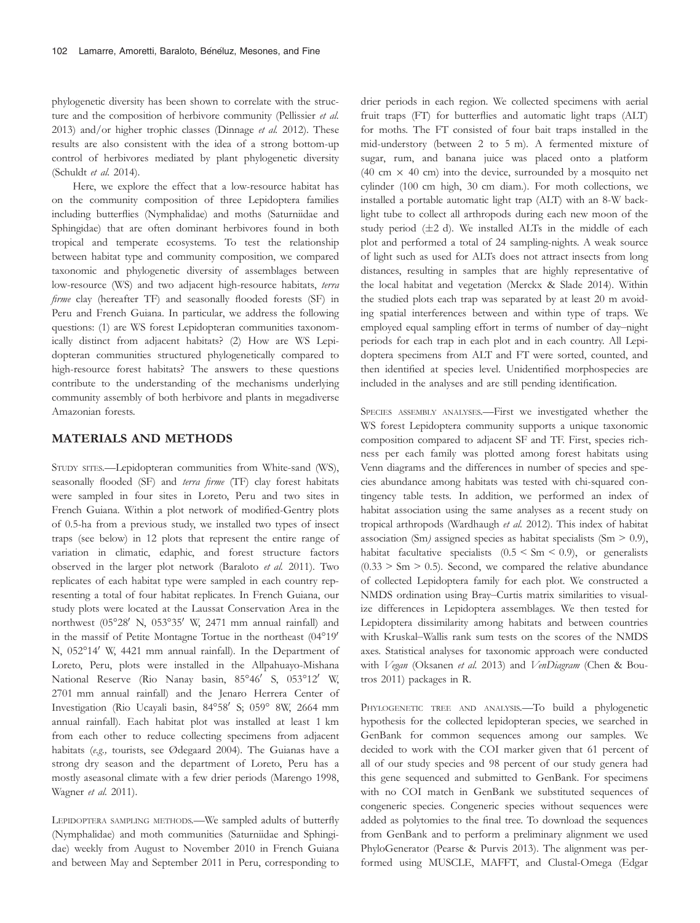phylogenetic diversity has been shown to correlate with the structure and the composition of herbivore community (Pellissier et al. 2013) and/or higher trophic classes (Dinnage et al. 2012). These results are also consistent with the idea of a strong bottom-up control of herbivores mediated by plant phylogenetic diversity (Schuldt et al. 2014).

Here, we explore the effect that a low-resource habitat has on the community composition of three Lepidoptera families including butterflies (Nymphalidae) and moths (Saturniidae and Sphingidae) that are often dominant herbivores found in both tropical and temperate ecosystems. To test the relationship between habitat type and community composition, we compared taxonomic and phylogenetic diversity of assemblages between low-resource (WS) and two adjacent high-resource habitats, terra firme clay (hereafter TF) and seasonally flooded forests (SF) in Peru and French Guiana. In particular, we address the following questions: (1) are WS forest Lepidopteran communities taxonomically distinct from adjacent habitats? (2) How are WS Lepidopteran communities structured phylogenetically compared to high-resource forest habitats? The answers to these questions contribute to the understanding of the mechanisms underlying community assembly of both herbivore and plants in megadiverse Amazonian forests.

### MATERIALS AND METHODS

STUDY SITES.—Lepidopteran communities from White-sand (WS), seasonally flooded (SF) and terra firme (TF) clay forest habitats were sampled in four sites in Loreto, Peru and two sites in French Guiana. Within a plot network of modified-Gentry plots of 0.5-ha from a previous study, we installed two types of insect traps (see below) in 12 plots that represent the entire range of variation in climatic, edaphic, and forest structure factors observed in the larger plot network (Baraloto et al. 2011). Two replicates of each habitat type were sampled in each country representing a total of four habitat replicates. In French Guiana, our study plots were located at the Laussat Conservation Area in the northwest  $(05^{\circ}28'$  N,  $053^{\circ}35'$  W, 2471 mm annual rainfall) and in the massif of Petite Montagne Tortue in the northeast  $(04°19'$ N, 052°14' W, 4421 mm annual rainfall). In the Department of Loreto, Peru, plots were installed in the Allpahuayo-Mishana National Reserve (Rio Nanay basin, 85°46' S, 053°12' W, 2701 mm annual rainfall) and the Jenaro Herrera Center of Investigation (Rio Ucayali basin, 84°58' S; 059° 8W, 2664 mm annual rainfall). Each habitat plot was installed at least 1 km from each other to reduce collecting specimens from adjacent habitats (e.g., tourists, see Ødegaard 2004). The Guianas have a strong dry season and the department of Loreto, Peru has a mostly aseasonal climate with a few drier periods (Marengo 1998, Wagner et al. 2011).

LEPIDOPTERA SAMPLING METHODS.—We sampled adults of butterfly (Nymphalidae) and moth communities (Saturniidae and Sphingidae) weekly from August to November 2010 in French Guiana and between May and September 2011 in Peru, corresponding to drier periods in each region. We collected specimens with aerial fruit traps (FT) for butterflies and automatic light traps (ALT) for moths. The FT consisted of four bait traps installed in the mid-understory (between 2 to 5 m). A fermented mixture of sugar, rum, and banana juice was placed onto a platform (40 cm  $\times$  40 cm) into the device, surrounded by a mosquito net cylinder (100 cm high, 30 cm diam.). For moth collections, we installed a portable automatic light trap (ALT) with an 8-W backlight tube to collect all arthropods during each new moon of the study period  $(\pm 2$  d). We installed ALTs in the middle of each plot and performed a total of 24 sampling-nights. A weak source of light such as used for ALTs does not attract insects from long distances, resulting in samples that are highly representative of the local habitat and vegetation (Merckx & Slade 2014). Within the studied plots each trap was separated by at least 20 m avoiding spatial interferences between and within type of traps. We employed equal sampling effort in terms of number of day–night periods for each trap in each plot and in each country. All Lepidoptera specimens from ALT and FT were sorted, counted, and then identified at species level. Unidentified morphospecies are included in the analyses and are still pending identification.

SPECIES ASSEMBLY ANALYSES.—First we investigated whether the WS forest Lepidoptera community supports a unique taxonomic composition compared to adjacent SF and TF. First, species richness per each family was plotted among forest habitats using Venn diagrams and the differences in number of species and species abundance among habitats was tested with chi-squared contingency table tests. In addition, we performed an index of habitat association using the same analyses as a recent study on tropical arthropods (Wardhaugh et al. 2012). This index of habitat association (Sm) assigned species as habitat specialists (Sm  $>$  0.9), habitat facultative specialists  $(0.5 \leq \text{Sm} \leq 0.9)$ , or generalists  $(0.33 > Sm > 0.5)$ . Second, we compared the relative abundance of collected Lepidoptera family for each plot. We constructed a NMDS ordination using Bray–Curtis matrix similarities to visualize differences in Lepidoptera assemblages. We then tested for Lepidoptera dissimilarity among habitats and between countries with Kruskal–Wallis rank sum tests on the scores of the NMDS axes. Statistical analyses for taxonomic approach were conducted with Vegan (Oksanen et al. 2013) and VenDiagram (Chen & Boutros 2011) packages in R.

PHYLOGENETIC TREE AND ANALYSIS.-To build a phylogenetic hypothesis for the collected lepidopteran species, we searched in GenBank for common sequences among our samples. We decided to work with the COI marker given that 61 percent of all of our study species and 98 percent of our study genera had this gene sequenced and submitted to GenBank. For specimens with no COI match in GenBank we substituted sequences of congeneric species. Congeneric species without sequences were added as polytomies to the final tree. To download the sequences from GenBank and to perform a preliminary alignment we used PhyloGenerator (Pearse & Purvis 2013). The alignment was performed using MUSCLE, MAFFT, and Clustal-Omega (Edgar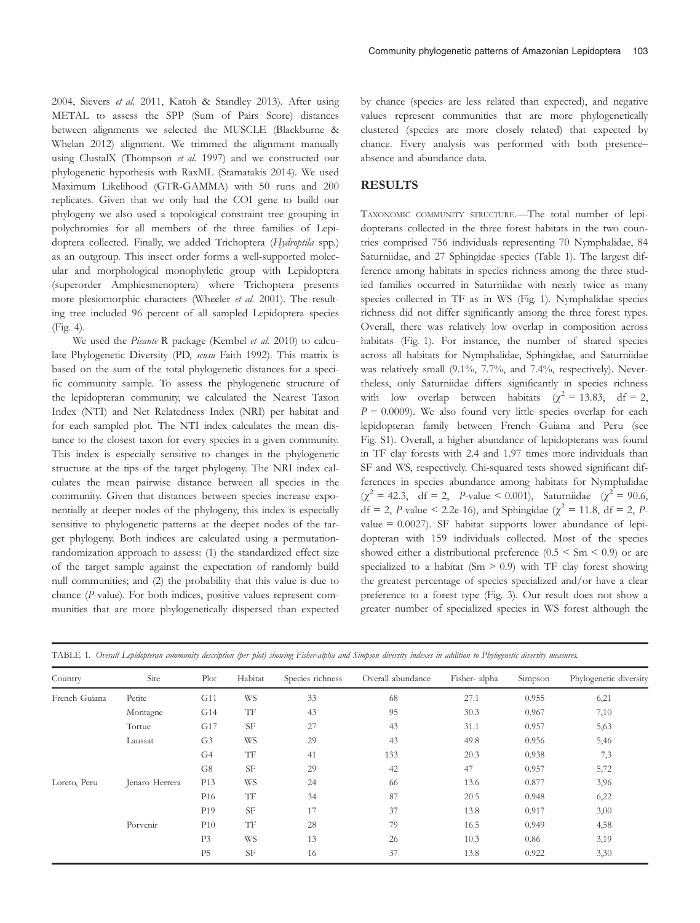2004, Sievers et al. 2011, Katoh & Standley 2013). After using METAL to assess the SPP (Sum of Pairs Score) distances between alignments we selected the MUSCLE (Blackburne & Whelan 2012) alignment. We trimmed the alignment manually using ClustalX (Thompson et al. 1997) and we constructed our phylogenetic hypothesis with RaxML (Stamatakis 2014). We used Maximum Likelihood (GTR-GAMMA) with 50 runs and 200 replicates. Given that we only had the COI gene to build our phylogeny we also used a topological constraint tree grouping in polychromies for all members of the three families of Lepidoptera collected. Finally, we added Trichoptera (Hydroptila spp.) as an outgroup. This insect order forms a well-supported molecular and morphological monophyletic group with Lepidoptera (superorder Amphiesmenoptera) where Trichoptera presents more plesiomorphic characters (Wheeler et al. 2001). The resulting tree included 96 percent of all sampled Lepidoptera species (Fig. 4).

We used the Picante R package (Kembel et al. 2010) to calculate Phylogenetic Diversity (PD, sensu Faith 1992). This matrix is based on the sum of the total phylogenetic distances for a specific community sample. To assess the phylogenetic structure of the lepidopteran community, we calculated the Nearest Taxon Index (NTI) and Net Relatedness Index (NRI) per habitat and for each sampled plot. The NTI index calculates the mean distance to the closest taxon for every species in a given community. This index is especially sensitive to changes in the phylogenetic structure at the tips of the target phylogeny. The NRI index calculates the mean pairwise distance between all species in the community. Given that distances between species increase exponentially at deeper nodes of the phylogeny, this index is especially sensitive to phylogenetic patterns at the deeper nodes of the target phylogeny. Both indices are calculated using a permutationrandomization approach to assess: (1) the standardized effect size of the target sample against the expectation of randomly build null communities; and (2) the probability that this value is due to chance (P-value). For both indices, positive values represent communities that are more phylogenetically dispersed than expected by chance (species are less related than expected), and negative values represent communities that are more phylogenetically clustered (species are more closely related) that expected by chance. Every analysis was performed with both presence– absence and abundance data.

## **RESULTS**

TAXONOMIC COMMUNITY STRUCTURE.—The total number of lepidopterans collected in the three forest habitats in the two countries comprised 756 individuals representing 70 Nymphalidae, 84 Saturniidae, and 27 Sphingidae species (Table 1). The largest difference among habitats in species richness among the three studied families occurred in Saturniidae with nearly twice as many species collected in TF as in WS (Fig. 1). Nymphalidae species richness did not differ significantly among the three forest types. Overall, there was relatively low overlap in composition across habitats (Fig. 1). For instance, the number of shared species across all habitats for Nymphalidae, Sphingidae, and Saturniidae was relatively small (9.1%, 7.7%, and 7.4%, respectively). Nevertheless, only Saturniidae differs significantly in species richness with low overlap between habitats ( $\chi^2 = 13.83$ , df = 2,  $P = 0.0009$ ). We also found very little species overlap for each lepidopteran family between French Guiana and Peru (see Fig. S1). Overall, a higher abundance of lepidopterans was found in TF clay forests with 2.4 and 1.97 times more individuals than SF and WS, respectively. Chi-squared tests showed significant differences in species abundance among habitats for Nymphalidae  $(\chi^2 = 42.3, \text{ df} = 2, \text{ P-value} < 0.001), \text{ Saturniidae } (\chi^2 = 90.6,$ df = 2, P-value < 2.2e-16), and Sphingidae ( $\chi^2$  = 11.8, df = 2, Pvalue = 0.0027). SF habitat supports lower abundance of lepidopteran with 159 individuals collected. Most of the species showed either a distributional preference  $(0.5 \leq \text{Sm} \leq 0.9)$  or are specialized to a habitat (Sm  $>$  0.9) with TF clay forest showing the greatest percentage of species specialized and/or have a clear preference to a forest type (Fig. 3). Our result does not show a greater number of specialized species in WS forest although the

|  | TABLE 1. Overall Lepidopteran community description (per plot) showing Fisher-alpha and Simpson diversity indexes in addition to Phylogenetic diversity measures. |  |  |  |  |  |  |  |  |  |  |  |
|--|-------------------------------------------------------------------------------------------------------------------------------------------------------------------|--|--|--|--|--|--|--|--|--|--|--|
|--|-------------------------------------------------------------------------------------------------------------------------------------------------------------------|--|--|--|--|--|--|--|--|--|--|--|

| Country       | Site           | Plot            | Habitat   | Species richness | Overall abundance | Fisher-alpha | Simpson | Phylogenetic diversity |
|---------------|----------------|-----------------|-----------|------------------|-------------------|--------------|---------|------------------------|
| French Guiana | Petite         | G11             | <b>WS</b> | 33               | 68                | 27.1         | 0.955   | 6,21                   |
|               | Montagne       | G14             | TF        | 43               | 95                | 30.3         | 0.967   | 7,10                   |
|               | Tortue         | G17             | SF        | 27               | 43                | 31.1         | 0.957   | 5,63                   |
|               | Laussat        | G <sub>3</sub>  | <b>WS</b> | 29               | 43                | 49.8         | 0.956   | 5,46                   |
|               |                | G <sub>4</sub>  | TF        | 41               | 133               | 20.3         | 0.938   | 7,3                    |
|               |                | G8              | <b>SF</b> | 29               | 42                | 47           | 0.957   | 5,72                   |
| Loreto, Peru  | Jenaro Herrera | P <sub>13</sub> | <b>WS</b> | 24               | 66                | 13.6         | 0.877   | 3,96                   |
|               |                | P <sub>16</sub> | TF        | 34               | 87                | 20.5         | 0.948   | 6,22                   |
|               |                | P <sub>19</sub> | <b>SF</b> | 17               | 37                | 13.8         | 0.917   | 3,00                   |
|               | Porvenir       | P <sub>10</sub> | TF        | 28               | 79                | 16.5         | 0.949   | 4,58                   |
|               |                | P3              | <b>WS</b> | 13               | 26                | 10.3         | 0.86    | 3,19                   |
|               |                | P <sub>5</sub>  | <b>SF</b> | 16               | 37                | 13.8         | 0.922   | 3,30                   |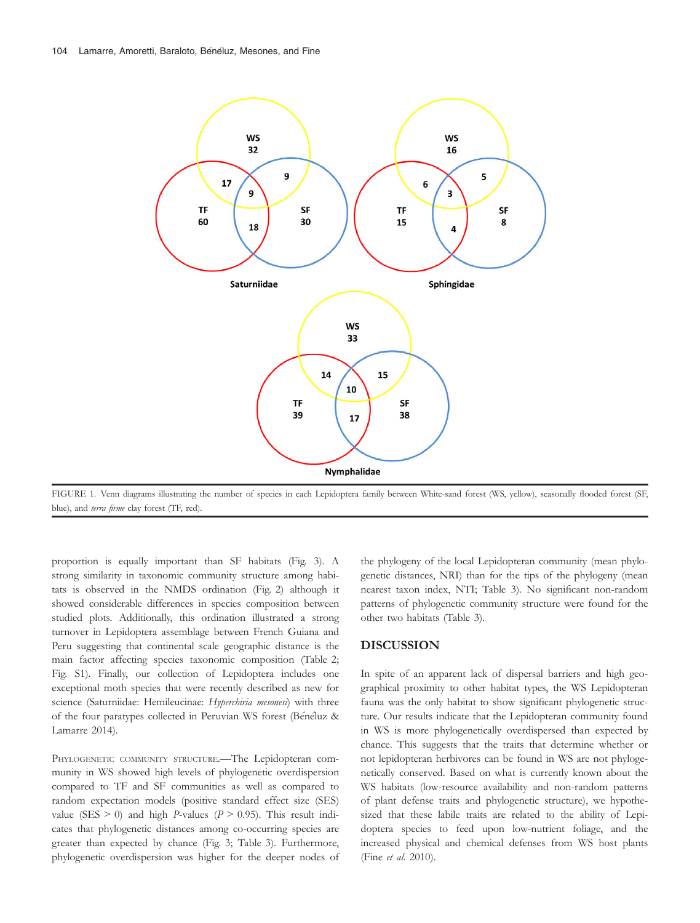

FIGURE 1. Venn diagrams illustrating the number of species in each Lepidoptera family between White-sand forest (WS, yellow), seasonally flooded forest (SF, blue), and terra firme clay forest (TF, red).

proportion is equally important than SF habitats (Fig. 3). A strong similarity in taxonomic community structure among habitats is observed in the NMDS ordination (Fig. 2) although it showed considerable differences in species composition between studied plots. Additionally, this ordination illustrated a strong turnover in Lepidoptera assemblage between French Guiana and Peru suggesting that continental scale geographic distance is the main factor affecting species taxonomic composition (Table 2; Fig. S1). Finally, our collection of Lepidoptera includes one exceptional moth species that were recently described as new for science (Saturniidae: Hemileucinae: Hyperchiria mesonesi) with three of the four paratypes collected in Peruvian WS forest (Bénéluz & Lamarre 2014).

PHYLOGENETIC COMMUNITY STRUCTURE.—The Lepidopteran community in WS showed high levels of phylogenetic overdispersion compared to TF and SF communities as well as compared to random expectation models (positive standard effect size (SES) value (SES  $>$  0) and high *P*-values ( $P$   $>$  0.95). This result indicates that phylogenetic distances among co-occurring species are greater than expected by chance (Fig. 3; Table 3). Furthermore, phylogenetic overdispersion was higher for the deeper nodes of

the phylogeny of the local Lepidopteran community (mean phylogenetic distances, NRI) than for the tips of the phylogeny (mean nearest taxon index, NTI; Table 3). No significant non-random patterns of phylogenetic community structure were found for the other two habitats (Table 3).

### DISCUSSION

In spite of an apparent lack of dispersal barriers and high geographical proximity to other habitat types, the WS Lepidopteran fauna was the only habitat to show significant phylogenetic structure. Our results indicate that the Lepidopteran community found in WS is more phylogenetically overdispersed than expected by chance. This suggests that the traits that determine whether or not lepidopteran herbivores can be found in WS are not phylogenetically conserved. Based on what is currently known about the WS habitats (low-resource availability and non-random patterns of plant defense traits and phylogenetic structure), we hypothesized that these labile traits are related to the ability of Lepidoptera species to feed upon low-nutrient foliage, and the increased physical and chemical defenses from WS host plants (Fine et al. 2010).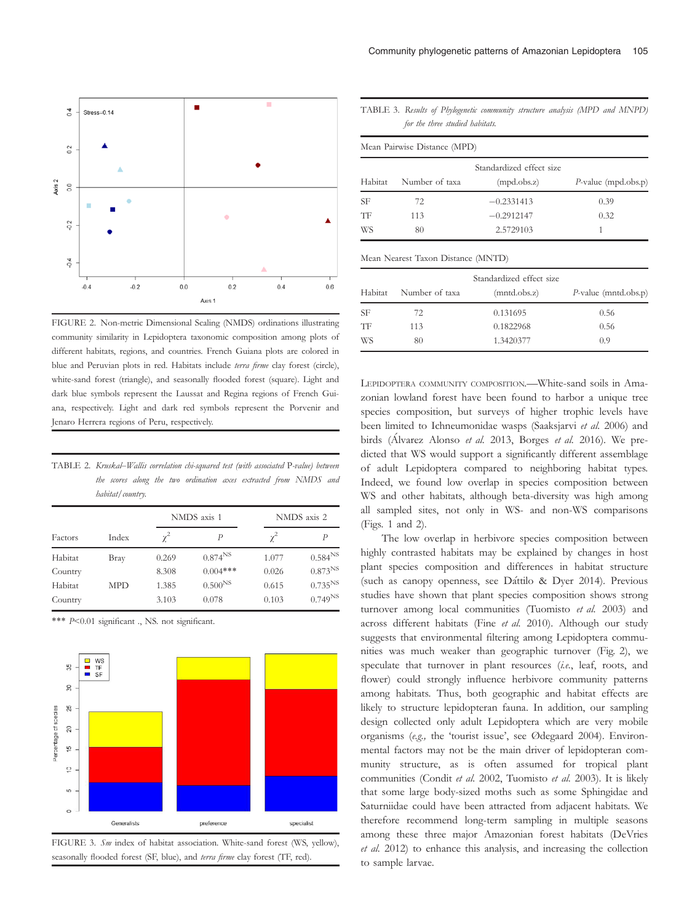

FIGURE 2. Non-metric Dimensional Scaling (NMDS) ordinations illustrating community similarity in Lepidoptera taxonomic composition among plots of different habitats, regions, and countries. French Guiana plots are colored in blue and Peruvian plots in red. Habitats include terra firme clay forest (circle), white-sand forest (triangle), and seasonally flooded forest (square). Light and dark blue symbols represent the Laussat and Regina regions of French Guiana, respectively. Light and dark red symbols represent the Porvenir and Jenaro Herrera regions of Peru, respectively.

TABLE 2. Kruskal–Wallis correlation chi-squared test (with associated P-value) between the scores along the two ordination axes extracted from NMDS and habitat/country.

|         |            |            | NMDS axis 1  | NMDS axis 2 |              |  |
|---------|------------|------------|--------------|-------------|--------------|--|
| Factors | Index      | $\gamma^2$ | P            | $\gamma^2$  |              |  |
| Habitat | Bray       | 0.269      | $0.874^{NS}$ | 1.077       | $0.584^{NS}$ |  |
| Country |            | 8.308      | $0.004***$   | 0.026       | $0.873^{NS}$ |  |
| Habitat | <b>MPD</b> | 1.385      | $0.500^{NS}$ | 0.615       | $0.735^{NS}$ |  |
| Country |            | 3.103      | 0.078        | 0.103       | $0.749^{NS}$ |  |

\*\*\* P<0.01 significant ., NS. not significant.



FIGURE 3. Sm index of habitat association. White-sand forest (WS, yellow), seasonally flooded forest (SF, blue), and terra firme clay forest (TF, red).

| TABLE 3. Results of Phylogenetic community structure analysis (MPD and MNPD) |  |                                 |  |  |  |  |
|------------------------------------------------------------------------------|--|---------------------------------|--|--|--|--|
|                                                                              |  | for the three studied habitats. |  |  |  |  |

| Habitat | Number of taxa | Standardized effect size<br>(mpd.obs. z) | $P$ -value (mpd.obs.p) |
|---------|----------------|------------------------------------------|------------------------|
| SF      | 72             | $-0.2331413$                             | 0.39                   |
| TF      | 113            | $-0.2912147$                             | 0.32                   |
| WS      | 80             | 2.5729103                                |                        |

#### Mean Nearest Taxon Distance (MNTD)

|           |                | Standardized effect size |                         |  |  |
|-----------|----------------|--------------------------|-------------------------|--|--|
| Habitat   | Number of taxa | (mntd.obs.z)             | $P$ -value (mntd.obs.p) |  |  |
| <b>SF</b> | 72             | 0.131695                 | 0.56                    |  |  |
| TF        | 113            | 0.1822968                | 0.56                    |  |  |
| WS        | 80             | 1.3420377                | 0.9                     |  |  |

LEPIDOPTERA COMMUNITY COMPOSITION.—White-sand soils in Amazonian lowland forest have been found to harbor a unique tree species composition, but surveys of higher trophic levels have been limited to Ichneumonidae wasps (Saaksjarvi et al. 2006) and birds (Alvarez Alonso et al. 2013, Borges et al. 2016). We predicted that WS would support a significantly different assemblage of adult Lepidoptera compared to neighboring habitat types. Indeed, we found low overlap in species composition between WS and other habitats, although beta-diversity was high among all sampled sites, not only in WS- and non-WS comparisons (Figs. 1 and 2).

The low overlap in herbivore species composition between highly contrasted habitats may be explained by changes in host plant species composition and differences in habitat structure (such as canopy openness, see Dattilo & Dyer 2014). Previous studies have shown that plant species composition shows strong turnover among local communities (Tuomisto et al. 2003) and across different habitats (Fine et al. 2010). Although our study suggests that environmental filtering among Lepidoptera communities was much weaker than geographic turnover (Fig. 2), we speculate that turnover in plant resources (i.e., leaf, roots, and flower) could strongly influence herbivore community patterns among habitats. Thus, both geographic and habitat effects are likely to structure lepidopteran fauna. In addition, our sampling design collected only adult Lepidoptera which are very mobile organisms (e.g., the 'tourist issue', see Ødegaard 2004). Environmental factors may not be the main driver of lepidopteran community structure, as is often assumed for tropical plant communities (Condit et al. 2002, Tuomisto et al. 2003). It is likely that some large body-sized moths such as some Sphingidae and Saturniidae could have been attracted from adjacent habitats. We therefore recommend long-term sampling in multiple seasons among these three major Amazonian forest habitats (DeVries et al. 2012) to enhance this analysis, and increasing the collection to sample larvae.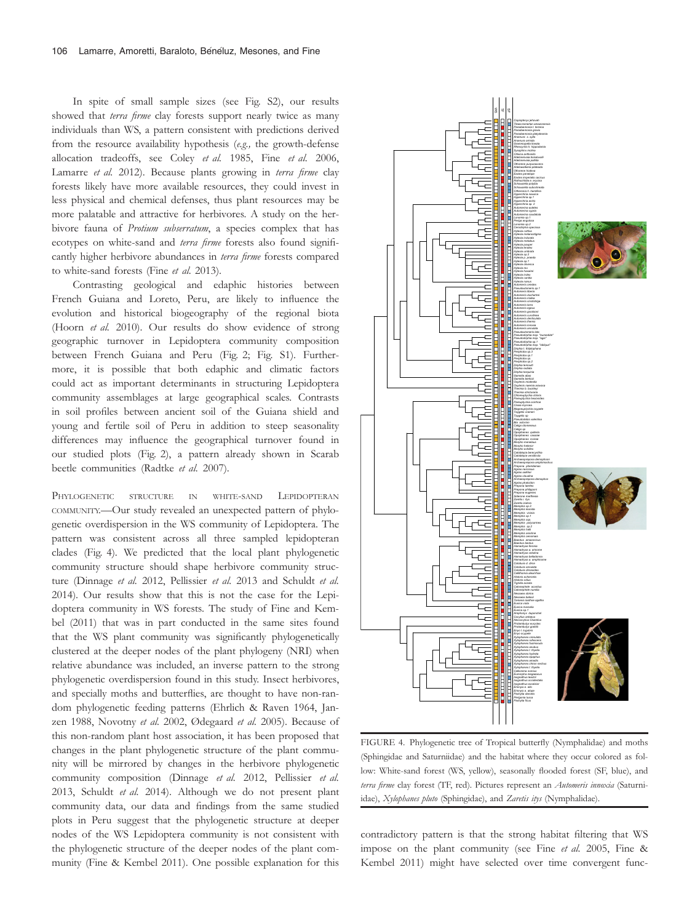In spite of small sample sizes (see Fig. S2), our results showed that terra firme clay forests support nearly twice as many individuals than WS, a pattern consistent with predictions derived from the resource availability hypothesis (e.g., the growth-defense allocation tradeoffs, see Coley et al. 1985, Fine et al. 2006, Lamarre et al. 2012). Because plants growing in terra firme clay forests likely have more available resources, they could invest in less physical and chemical defenses, thus plant resources may be more palatable and attractive for herbivores. A study on the herbivore fauna of Protium subserratum, a species complex that has ecotypes on white-sand and terra firme forests also found significantly higher herbivore abundances in terra firme forests compared to white-sand forests (Fine et al. 2013).

Contrasting geological and edaphic histories between French Guiana and Loreto, Peru, are likely to influence the evolution and historical biogeography of the regional biota (Hoorn et al. 2010). Our results do show evidence of strong geographic turnover in Lepidoptera community composition between French Guiana and Peru (Fig. 2; Fig. S1). Furthermore, it is possible that both edaphic and climatic factors could act as important determinants in structuring Lepidoptera community assemblages at large geographical scales. Contrasts in soil profiles between ancient soil of the Guiana shield and young and fertile soil of Peru in addition to steep seasonality differences may influence the geographical turnover found in our studied plots (Fig. 2), a pattern already shown in Scarab beetle communities (Radtke et al. 2007).

PHYLOGENETIC STRUCTURE IN WHITE-SAND LEPIDOPTERAN COMMUNITY.—Our study revealed an unexpected pattern of phylogenetic overdispersion in the WS community of Lepidoptera. The pattern was consistent across all three sampled lepidopteran clades (Fig. 4). We predicted that the local plant phylogenetic community structure should shape herbivore community structure (Dinnage et al. 2012, Pellissier et al. 2013 and Schuldt et al. 2014). Our results show that this is not the case for the Lepidoptera community in WS forests. The study of Fine and Kembel (2011) that was in part conducted in the same sites found that the WS plant community was significantly phylogenetically clustered at the deeper nodes of the plant phylogeny (NRI) when relative abundance was included, an inverse pattern to the strong phylogenetic overdispersion found in this study. Insect herbivores, and specially moths and butterflies, are thought to have non-random phylogenetic feeding patterns (Ehrlich & Raven 1964, Janzen 1988, Novotny et al. 2002, Ødegaard et al. 2005). Because of this non-random plant host association, it has been proposed that changes in the plant phylogenetic structure of the plant community will be mirrored by changes in the herbivore phylogenetic community composition (Dinnage et al. 2012, Pellissier et al. 2013, Schuldt et al. 2014). Although we do not present plant community data, our data and findings from the same studied plots in Peru suggest that the phylogenetic structure at deeper nodes of the WS Lepidoptera community is not consistent with the phylogenetic structure of the deeper nodes of the plant community (Fine & Kembel 2011). One possible explanation for this



FIGURE 4. Phylogenetic tree of Tropical butterfly (Nymphalidae) and moths (Sphingidae and Saturniidae) and the habitat where they occur colored as follow: White-sand forest (WS, yellow), seasonally flooded forest (SF, blue), and terra firme clay forest (TF, red). Pictures represent an Automeris innoxia (Saturniidae), Xylophanes pluto (Sphingidae), and Zaretis itys (Nymphalidae).

contradictory pattern is that the strong habitat filtering that WS impose on the plant community (see Fine et al. 2005, Fine & Kembel 2011) might have selected over time convergent func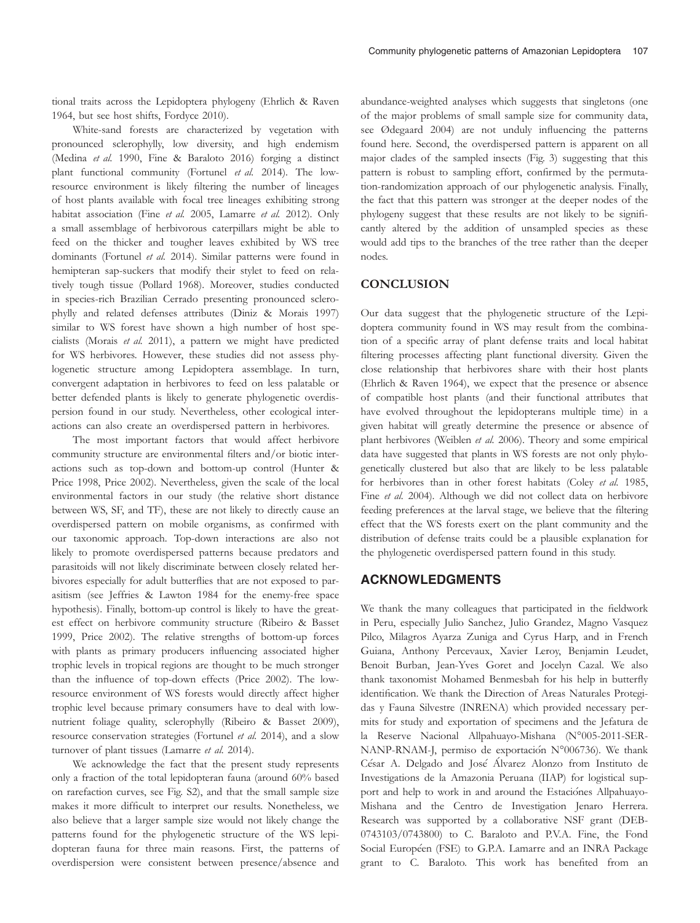tional traits across the Lepidoptera phylogeny (Ehrlich & Raven 1964, but see host shifts, Fordyce 2010).

White-sand forests are characterized by vegetation with pronounced sclerophylly, low diversity, and high endemism (Medina et al. 1990, Fine & Baraloto 2016) forging a distinct plant functional community (Fortunel et al. 2014). The lowresource environment is likely filtering the number of lineages of host plants available with focal tree lineages exhibiting strong habitat association (Fine et al. 2005, Lamarre et al. 2012). Only a small assemblage of herbivorous caterpillars might be able to feed on the thicker and tougher leaves exhibited by WS tree dominants (Fortunel et al. 2014). Similar patterns were found in hemipteran sap-suckers that modify their stylet to feed on relatively tough tissue (Pollard 1968). Moreover, studies conducted in species-rich Brazilian Cerrado presenting pronounced sclerophylly and related defenses attributes (Diniz & Morais 1997) similar to WS forest have shown a high number of host specialists (Morais et al. 2011), a pattern we might have predicted for WS herbivores. However, these studies did not assess phylogenetic structure among Lepidoptera assemblage. In turn, convergent adaptation in herbivores to feed on less palatable or better defended plants is likely to generate phylogenetic overdispersion found in our study. Nevertheless, other ecological interactions can also create an overdispersed pattern in herbivores.

The most important factors that would affect herbivore community structure are environmental filters and/or biotic interactions such as top-down and bottom-up control (Hunter & Price 1998, Price 2002). Nevertheless, given the scale of the local environmental factors in our study (the relative short distance between WS, SF, and TF), these are not likely to directly cause an overdispersed pattern on mobile organisms, as confirmed with our taxonomic approach. Top-down interactions are also not likely to promote overdispersed patterns because predators and parasitoids will not likely discriminate between closely related herbivores especially for adult butterflies that are not exposed to parasitism (see Jeffries & Lawton 1984 for the enemy-free space hypothesis). Finally, bottom-up control is likely to have the greatest effect on herbivore community structure (Ribeiro & Basset 1999, Price 2002). The relative strengths of bottom-up forces with plants as primary producers influencing associated higher trophic levels in tropical regions are thought to be much stronger than the influence of top-down effects (Price 2002). The lowresource environment of WS forests would directly affect higher trophic level because primary consumers have to deal with lownutrient foliage quality, sclerophylly (Ribeiro & Basset 2009), resource conservation strategies (Fortunel et al. 2014), and a slow turnover of plant tissues (Lamarre et al. 2014).

We acknowledge the fact that the present study represents only a fraction of the total lepidopteran fauna (around 60% based on rarefaction curves, see Fig. S2), and that the small sample size makes it more difficult to interpret our results. Nonetheless, we also believe that a larger sample size would not likely change the patterns found for the phylogenetic structure of the WS lepidopteran fauna for three main reasons. First, the patterns of overdispersion were consistent between presence/absence and abundance-weighted analyses which suggests that singletons (one of the major problems of small sample size for community data, see Ødegaard 2004) are not unduly influencing the patterns found here. Second, the overdispersed pattern is apparent on all major clades of the sampled insects (Fig. 3) suggesting that this pattern is robust to sampling effort, confirmed by the permutation-randomization approach of our phylogenetic analysis. Finally, the fact that this pattern was stronger at the deeper nodes of the phylogeny suggest that these results are not likely to be significantly altered by the addition of unsampled species as these would add tips to the branches of the tree rather than the deeper nodes.

### **CONCLUSION**

Our data suggest that the phylogenetic structure of the Lepidoptera community found in WS may result from the combination of a specific array of plant defense traits and local habitat filtering processes affecting plant functional diversity. Given the close relationship that herbivores share with their host plants (Ehrlich & Raven 1964), we expect that the presence or absence of compatible host plants (and their functional attributes that have evolved throughout the lepidopterans multiple time) in a given habitat will greatly determine the presence or absence of plant herbivores (Weiblen et al. 2006). Theory and some empirical data have suggested that plants in WS forests are not only phylogenetically clustered but also that are likely to be less palatable for herbivores than in other forest habitats (Coley et al. 1985, Fine et al. 2004). Although we did not collect data on herbivore feeding preferences at the larval stage, we believe that the filtering effect that the WS forests exert on the plant community and the distribution of defense traits could be a plausible explanation for the phylogenetic overdispersed pattern found in this study.

# ACKNOWLEDGMENTS

We thank the many colleagues that participated in the fieldwork in Peru, especially Julio Sanchez, Julio Grandez, Magno Vasquez Pilco, Milagros Ayarza Zuniga and Cyrus Harp, and in French Guiana, Anthony Percevaux, Xavier Leroy, Benjamin Leudet, Benoit Burban, Jean-Yves Goret and Jocelyn Cazal. We also thank taxonomist Mohamed Benmesbah for his help in butterfly identification. We thank the Direction of Areas Naturales Protegidas y Fauna Silvestre (INRENA) which provided necessary permits for study and exportation of specimens and the Jefatura de la Reserve Nacional Allpahuayo-Mishana (N°005-2011-SER-NANP-RNAM-J, permiso de exportación N°006736). We thank Cesar A. Delgado and Jose Alvarez Alonzo from Instituto de Investigations de la Amazonia Peruana (IIAP) for logistical support and help to work in and around the Estaciones Allpahuayo-Mishana and the Centro de Investigation Jenaro Herrera. Research was supported by a collaborative NSF grant (DEB-0743103/0743800) to C. Baraloto and P.V.A. Fine, the Fond Social Européen (FSE) to G.P.A. Lamarre and an INRA Package grant to C. Baraloto. This work has benefited from an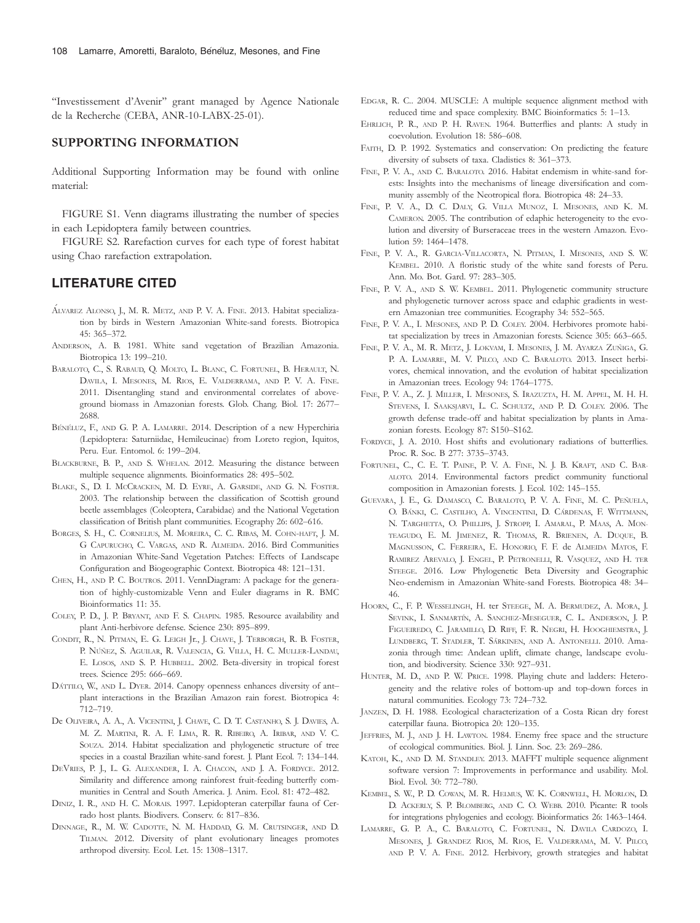''Investissement d'Avenir'' grant managed by Agence Nationale de la Recherche (CEBA, ANR-10-LABX-25-01).

## SUPPORTING INFORMATION

Additional Supporting Information may be found with online material:

FIGURE S1. Venn diagrams illustrating the number of species in each Lepidoptera family between countries.

FIGURE S2. Rarefaction curves for each type of forest habitat using Chao rarefaction extrapolation.

### LITERATURE CITED

- ALVAREZ ALONSO, J., M. R. METZ, AND P. V. A. FINE. 2013. Habitat specialization by birds in Western Amazonian White-sand forests. Biotropica 45: 365–372.
- ANDERSON, A. B. 1981. White sand vegetation of Brazilian Amazonia. Biotropica 13: 199–210.
- BARALOTO, C., S. RABAUD, Q. MOLTO, L. BLANC, C. FORTUNEL, B. HERAULT, N. DAVILA, I. MESONES, M. RIOS, E. VALDERRAMA, AND P. V. A. FINE. 2011. Disentangling stand and environmental correlates of aboveground biomass in Amazonian forests. Glob. Chang. Biol. 17: 2677– 2688.
- BENELUZ, F., AND G. P. A. LAMARRE. 2014. Description of a new Hyperchiria (Lepidoptera: Saturniidae, Hemileucinae) from Loreto region, Iquitos, Peru. Eur. Entomol. 6: 199–204.
- BLACKBURNE, B. P., AND S. WHELAN. 2012. Measuring the distance between multiple sequence alignments. Bioinformatics 28: 495–502.
- BLAKE, S., D. I. MCCRACKEN, M. D. EYRE, A. GARSIDE, AND G. N. FOSTER. 2003. The relationship between the classification of Scottish ground beetle assemblages (Coleoptera, Carabidae) and the National Vegetation classification of British plant communities. Ecography 26: 602–616.
- BORGES, S. H., C. CORNELIUS, M. MOREIRA, C. C. RIBAS, M. COHN-HAFT, J. M. G CAPURUCHO, C. VARGAS, AND R. ALMEIDA. 2016. Bird Communities in Amazonian White-Sand Vegetation Patches: Effects of Landscape Configuration and Biogeographic Context. Biotropica 48: 121–131.
- CHEN, H., AND P. C. BOUTROS. 2011. VennDiagram: A package for the generation of highly-customizable Venn and Euler diagrams in R. BMC Bioinformatics 11: 35.
- COLEY, P. D., J. P. BRYANT, AND F. S. CHAPIN. 1985. Resource availability and plant Anti-herbivore defense. Science 230: 895–899.
- CONDIT, R., N. PITMAN, E. G. LEIGH Jr., J. CHAVE, J. TERBORGH, R. B. FOSTER, P. NÚÑEZ, S. AGUILAR, R. VALENCIA, G. VILLA, H. C. MULLER-LANDAU, E. LOSOS, AND S. P. HUBBELL. 2002. Beta-diversity in tropical forest trees. Science 295: 666–669.
- DATTILO, W., AND L. DYER. 2014. Canopy openness enhances diversity of antplant interactions in the Brazilian Amazon rain forest. Biotropica 4: 712–719.
- De OLIVEIRA, A. A., A. VICENTINI, J. CHAVE, C. D. T. CASTANHO, S. J. DAVIES, A. M. Z. MARTINI, R. A. F. LIMA, R. R. RIBEIRO, A. IRIBAR, AND V. C. SOUZA. 2014. Habitat specialization and phylogenetic structure of tree species in a coastal Brazilian white-sand forest. J. Plant Ecol. 7: 134–144.
- DEVRIES, P. J., L. G. ALEXANDER, I. A. CHACON, AND J. A. FORDYCE. 2012. Similarity and difference among rainforest fruit-feeding butterfly communities in Central and South America. J. Anim. Ecol. 81: 472–482.
- DINIZ, I. R., AND H. C. MORAIS. 1997. Lepidopteran caterpillar fauna of Cerrado host plants. Biodivers. Conserv. 6: 817–836.
- DINNAGE, R., M. W. CADOTTE, N. M. HADDAD, G. M. CRUTSINGER, AND D. TILMAN. 2012. Diversity of plant evolutionary lineages promotes arthropod diversity. Ecol. Let. 15: 1308–1317.
- EDGAR, R. C.. 2004. MUSCLE: A multiple sequence alignment method with reduced time and space complexity. BMC Bioinformatics 5: 1–13.
- EHRLICH, P. R., AND P. H. RAVEN. 1964. Butterflies and plants: A study in coevolution. Evolution 18: 586–608.
- FAITH, D. P. 1992. Systematics and conservation: On predicting the feature diversity of subsets of taxa. Cladistics 8: 361–373.
- FINE, P. V. A., AND C. BARALOTO. 2016. Habitat endemism in white-sand forests: Insights into the mechanisms of lineage diversification and community assembly of the Neotropical flora. Biotropica 48: 24–33.
- FINE, P. V. A., D. C. DALY, G. VILLA MUNOZ, I. MESONES, AND K. M. CAMERON. 2005. The contribution of edaphic heterogeneity to the evolution and diversity of Burseraceae trees in the western Amazon. Evolution 59: 1464–1478.
- FINE, P. V. A., R. GARCIA-VILLACORTA, N. PITMAN, I. MESONES, AND S. W. KEMBEL. 2010. A floristic study of the white sand forests of Peru. Ann. Mo. Bot. Gard. 97: 283–305.
- FINE, P. V. A., AND S. W. KEMBEL. 2011. Phylogenetic community structure and phylogenetic turnover across space and edaphic gradients in western Amazonian tree communities. Ecography 34: 552–565.
- FINE, P. V. A., I. MESONES, AND P. D. COLEY. 2004. Herbivores promote habitat specialization by trees in Amazonian forests. Science 305: 663–665.
- FINE, P. V. A., M. R. METZ, J. LOKVAM, I. MESONES, J. M. AYARZA ZUÑIGA, G. P. A. LAMARRE, M. V. PILCO, AND C. BARALOTO. 2013. Insect herbivores, chemical innovation, and the evolution of habitat specialization in Amazonian trees. Ecology 94: 1764–1775.
- FINE, P. V. A., Z. J. MILLER, I. MESONES, S. IRAZUZTA, H. M. APPEL, M. H. H. STEVENS, I. SAAKSJARVI, L. C. SCHULTZ, AND P. D. COLEY. 2006. The growth defense trade-off and habitat specialization by plants in Amazonian forests. Ecology 87: S150–S162.
- FORDYCE, J. A. 2010. Host shifts and evolutionary radiations of butterflies. Proc. R. Soc. B 277: 3735–3743.
- FORTUNEL, C., C. E. T. PAINE, P. V. A. FINE, N. J. B. KRAFT, AND C. BAR-ALOTO. 2014. Environmental factors predict community functional composition in Amazonian forests. J. Ecol. 102: 145–155.
- GUEVARA, J. E., G. DAMASCO, C. BARALOTO, P. V. A. FINE, M. C. PEÑUELA, O. BÁNKI, C. CASTILHO, A. VINCENTINI, D. CÁRDENAS, F. WITTMANN, N. TARGHETTA, O. PHILLIPS, J. STROPP, I. AMARAL, P. MAAS, A. MON-TEAGUDO, E. M. JIMENEZ, R. THOMAS, R. BRIENEN, A. DUQUE, B. MAGNUSSON, C. FERREIRA, E. HONORIO, F. F. de ALMEIDA MATOS, F. RAMIREZ AREVALO, J. ENGEL, P. PETRONELLI, R. VASQUEZ, AND H. TER STEEGE. 2016. Low Phylogenetic Beta Diversity and Geographic Neo-endemism in Amazonian White-sand Forests. Biotropica 48: 34– 46.
- HOORN, C., F. P. WESSELINGH, H. ter STEEGE, M. A. BERMUDEZ, A. MORA, J. SEVINK, I. SANMARTIN, A. SANCHEZ-MESEGUER, C. L. ANDERSON, J. P. FIGUEIREDO, C. JARAMILLO, D. RIFF, F. R. NEGRI, H. HOOGHIEMSTRA, J. LUNDBERG, T. STADLER, T. SÄRKINEN, AND A. ANTONELLI. 2010. Amazonia through time: Andean uplift, climate change, landscape evolution, and biodiversity. Science 330: 927–931.
- HUNTER, M. D., AND P. W. PRICE. 1998. Playing chute and ladders: Heterogeneity and the relative roles of bottom-up and top-down forces in natural communities. Ecology 73: 724–732.
- JANZEN, D. H. 1988. Ecological characterization of a Costa Rican dry forest caterpillar fauna. Biotropica 20: 120–135.
- JEFFRIES, M. J., AND J. H. LAWTON. 1984. Enemy free space and the structure of ecological communities. Biol. J. Linn. Soc. 23: 269–286.
- KATOH, K., AND D. M. STANDLEY. 2013. MAFFT multiple sequence alignment software version 7: Improvements in performance and usability. Mol. Biol. Evol. 30: 772–780.
- KEMBEL, S. W., P. D. COWAN, M. R. HELMUS, W. K. CORNWELL, H. MORLON, D. D. ACKERLY, S. P. BLOMBERG, AND C. O. WEBB. 2010. Picante: R tools for integrations phylogenies and ecology. Bioinformatics 26: 1463–1464.
- LAMARRE, G. P. A., C. BARALOTO, C. FORTUNEL, N. DAVILA CARDOZO, I. MESONES, J. GRANDEZ RIOS, M. RIOS, E. VALDERRAMA, M. V. PILCO, AND P. V. A. FINE. 2012. Herbivory, growth strategies and habitat